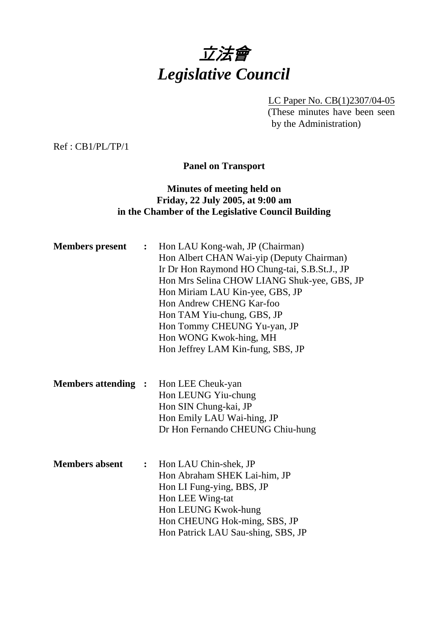

LC Paper No. CB(1)2307/04-05 (These minutes have been seen by the Administration)

Ref : CB1/PL/TP/1

**Panel on Transport** 

## **Minutes of meeting held on Friday, 22 July 2005, at 9:00 am in the Chamber of the Legislative Council Building**

| <b>Members</b> present     |  | Hon LAU Kong-wah, JP (Chairman)<br>$\ddot{\bullet}$<br>Hon Albert CHAN Wai-yip (Deputy Chairman)<br>Ir Dr Hon Raymond HO Chung-tai, S.B.St.J., JP<br>Hon Mrs Selina CHOW LIANG Shuk-yee, GBS, JP<br>Hon Miriam LAU Kin-yee, GBS, JP<br>Hon Andrew CHENG Kar-foo<br>Hon TAM Yiu-chung, GBS, JP<br>Hon Tommy CHEUNG Yu-yan, JP<br>Hon WONG Kwok-hing, MH<br>Hon Jeffrey LAM Kin-fung, SBS, JP |
|----------------------------|--|---------------------------------------------------------------------------------------------------------------------------------------------------------------------------------------------------------------------------------------------------------------------------------------------------------------------------------------------------------------------------------------------|
| <b>Members attending :</b> |  | Hon LEE Cheuk-yan<br>Hon LEUNG Yiu-chung<br>Hon SIN Chung-kai, JP<br>Hon Emily LAU Wai-hing, JP<br>Dr Hon Fernando CHEUNG Chiu-hung                                                                                                                                                                                                                                                         |
| <b>Members absent</b>      |  | : Hon LAU Chin-shek, JP<br>Hon Abraham SHEK Lai-him, JP<br>Hon LI Fung-ying, BBS, JP<br>Hon LEE Wing-tat<br>Hon LEUNG Kwok-hung<br>Hon CHEUNG Hok-ming, SBS, JP<br>Hon Patrick LAU Sau-shing, SBS, JP                                                                                                                                                                                       |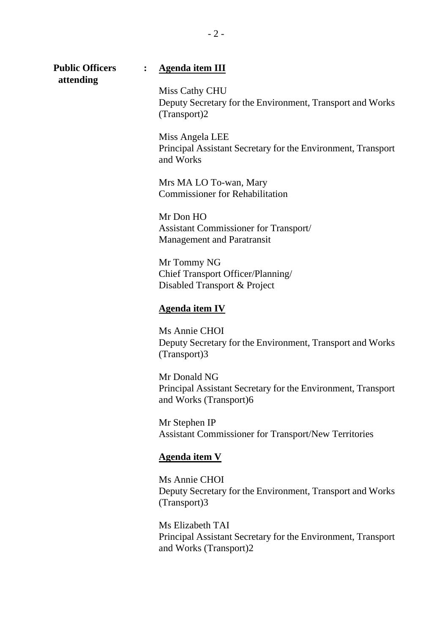| <b>Public Officers</b><br>attending | $\ddot{\cdot}$ | <b>Agenda item III</b>                                                                       |
|-------------------------------------|----------------|----------------------------------------------------------------------------------------------|
|                                     |                | Miss Cathy CHU<br>Deputy Secretary for the Environment, Transport and Works<br>(Transport)2  |
|                                     |                | Miss Angela LEE<br>Principal Assistant Secretary for the Environment, Transport<br>and Works |
|                                     |                | Mrs MA LO To-wan, Mary<br><b>Commissioner for Rehabilitation</b>                             |
|                                     |                | Mr Don HO<br>Assistant Commissioner for Transport/<br><b>Management and Paratransit</b>      |
|                                     |                | Mr Tommy NG<br>Chief Transport Officer/Planning/<br>Disabled Transport & Project             |
|                                     |                | <b>Agenda item IV</b>                                                                        |
|                                     |                | Ms Annie CHOI                                                                                |

Ms Annie CHOI Deputy Secretary for the Environment, Transport and Works (Transport)3

Mr Donald NG Principal Assistant Secretary for the Environment, Transport and Works (Transport)6

Mr Stephen IP Assistant Commissioner for Transport/New Territories

### **Agenda item V**

Ms Annie CHOI Deputy Secretary for the Environment, Transport and Works (Transport)3

Ms Elizabeth TAI Principal Assistant Secretary for the Environment, Transport and Works (Transport)2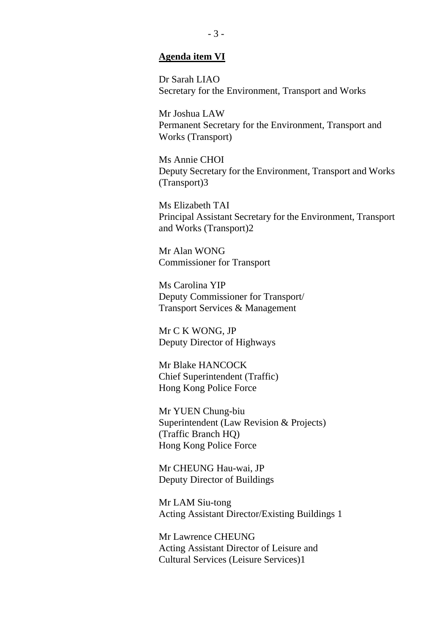#### **Agenda item VI**

Dr Sarah LIAO Secretary for the Environment, Transport and Works

Mr Joshua LAW Permanent Secretary for the Environment, Transport and Works (Transport)

Ms Annie CHOI Deputy Secretary for the Environment, Transport and Works (Transport)3

Ms Elizabeth TAI Principal Assistant Secretary for the Environment, Transport and Works (Transport)2

Mr Alan WONG Commissioner for Transport

Ms Carolina YIP Deputy Commissioner for Transport/ Transport Services & Management

Mr C K WONG, JP Deputy Director of Highways

Mr Blake HANCOCK Chief Superintendent (Traffic) Hong Kong Police Force

Mr YUEN Chung-biu Superintendent (Law Revision & Projects) (Traffic Branch HQ) Hong Kong Police Force

Mr CHEUNG Hau-wai, JP Deputy Director of Buildings

Mr LAM Siu-tong Acting Assistant Director/Existing Buildings 1

Mr Lawrence CHEUNG Acting Assistant Director of Leisure and Cultural Services (Leisure Services)1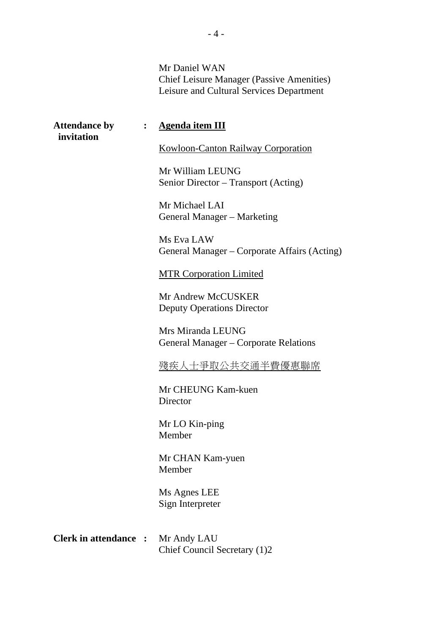Mr Daniel WAN Chief Leisure Manager (Passive Amenities) Leisure and Cultural Services Department

| <b>Attendance by</b><br>invitation |  | : Agenda item III                                          |  |  |  |
|------------------------------------|--|------------------------------------------------------------|--|--|--|
|                                    |  | <b>Kowloon-Canton Railway Corporation</b>                  |  |  |  |
|                                    |  | Mr William LEUNG<br>Senior Director – Transport (Acting)   |  |  |  |
|                                    |  | Mr Michael LAI<br><b>General Manager – Marketing</b>       |  |  |  |
|                                    |  | Ms Eva LAW<br>General Manager – Corporate Affairs (Acting) |  |  |  |
|                                    |  | <b>MTR Corporation Limited</b>                             |  |  |  |
|                                    |  | Mr Andrew McCUSKER<br><b>Deputy Operations Director</b>    |  |  |  |
|                                    |  | Mrs Miranda LEUNG<br>General Manager – Corporate Relations |  |  |  |
|                                    |  | 殘疾人士爭取公共交通半費優惠聯席                                           |  |  |  |
|                                    |  | Mr CHEUNG Kam-kuen<br>Director                             |  |  |  |
|                                    |  | Mr LO Kin-ping<br>Member                                   |  |  |  |
|                                    |  | Mr CHAN Kam-yuen<br>Member                                 |  |  |  |
|                                    |  | Ms Agnes LEE<br>Sign Interpreter                           |  |  |  |
| <b>Clerk in attendance :</b>       |  | Mr Andy LAU<br>Chief Council Secretary (1)2                |  |  |  |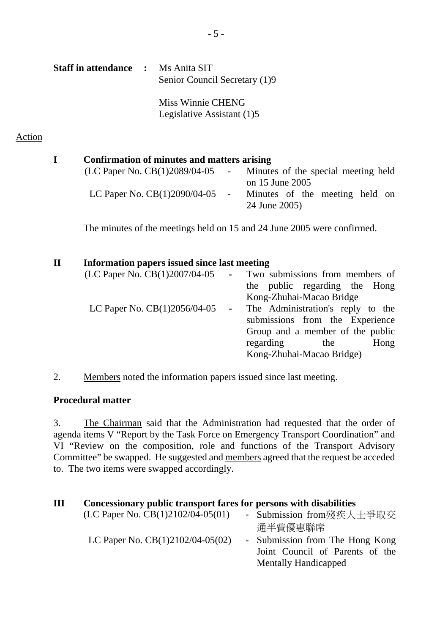| <b>Staff in attendance :</b> Ms Anita SIT | Senior Council Secretary (1)9 |
|-------------------------------------------|-------------------------------|
|                                           | Miss Winnie CHENG             |

Legislative Assistant (1)5

## Action

| I            | Confirmation of minutes and matters arising                             |                     |                                                        |  |  |  |  |  |  |
|--------------|-------------------------------------------------------------------------|---------------------|--------------------------------------------------------|--|--|--|--|--|--|
|              | (LC Paper No. CB(1)2089/04-05                                           | $\omega_{\rm{max}}$ | Minutes of the special meeting held<br>on 15 June 2005 |  |  |  |  |  |  |
|              | LC Paper No. CB(1)2090/04-05                                            | $\blacksquare$      | Minutes of the meeting held on<br>24 June 2005)        |  |  |  |  |  |  |
|              | The minutes of the meetings held on 15 and 24 June 2005 were confirmed. |                     |                                                        |  |  |  |  |  |  |
| $\mathbf{I}$ | Information papers issued since last meeting                            |                     |                                                        |  |  |  |  |  |  |
|              | (LC Paper No. CB(1)2007/04-05                                           |                     | - Two submissions from members of                      |  |  |  |  |  |  |
|              |                                                                         |                     | the public regarding the Hong                          |  |  |  |  |  |  |
|              |                                                                         |                     | Kong-Zhuhai-Macao Bridge                               |  |  |  |  |  |  |
|              | LC Paper No. $CB(1)2056/04-05$                                          | $\blacksquare$      | The Administration's reply to the                      |  |  |  |  |  |  |
|              |                                                                         |                     | submissions from the Experience                        |  |  |  |  |  |  |
|              |                                                                         |                     | Group and a member of the public                       |  |  |  |  |  |  |

regarding the Hong

Kong-Zhuhai-Macao Bridge)

2. Members noted the information papers issued since last meeting.

### **Procedural matter**

3. The Chairman said that the Administration had requested that the order of agenda items V "Report by the Task Force on Emergency Transport Coordination" and VI "Review on the composition, role and functions of the Transport Advisory Committee" be swapped. He suggested and members agreed that the request be acceded to. The two items were swapped accordingly.

| Ш | Concessionary public transport fares for persons with disabilities |  |  |  |  |  |  |
|---|--------------------------------------------------------------------|--|--|--|--|--|--|
|---|--------------------------------------------------------------------|--|--|--|--|--|--|

| 通半費優惠聯席                                                                                    |
|--------------------------------------------------------------------------------------------|
| - Submission from The Hong Kong<br>Joint Council of Parents of the<br>Mentally Handicapped |
|                                                                                            |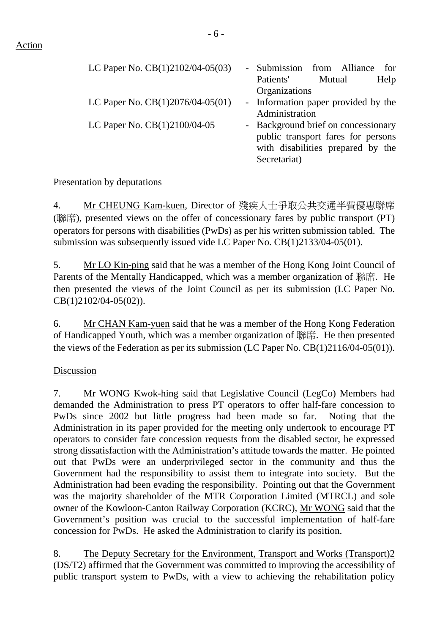| LC Paper No. $CB(1)2102/04-05(03)$ | - Submission from Alliance<br>for<br>Mutual<br>Patients'<br>Help<br>Organizations                                              |
|------------------------------------|--------------------------------------------------------------------------------------------------------------------------------|
| LC Paper No. $CB(1)2076/04-05(01)$ | - Information paper provided by the<br>Administration                                                                          |
| LC Paper No. CB(1)2100/04-05       | - Background brief on concessionary<br>public transport fares for persons<br>with disabilities prepared by the<br>Secretariat) |

# Presentation by deputations

4. Mr CHEUNG Kam-kuen, Director of 殘疾人士爭取公共交通半費優惠聯席 (聯席), presented views on the offer of concessionary fares by public transport (PT) operators for persons with disabilities (PwDs) as per his written submission tabled. The submission was subsequently issued vide LC Paper No. CB(1)2133/04-05(01).

5. Mr LO Kin-ping said that he was a member of the Hong Kong Joint Council of Parents of the Mentally Handicapped, which was a member organization of 聯席. He then presented the views of the Joint Council as per its submission (LC Paper No. CB(1)2102/04-05(02)).

6. Mr CHAN Kam-yuen said that he was a member of the Hong Kong Federation of Handicapped Youth, which was a member organization of 聯席. He then presented the views of the Federation as per its submission (LC Paper No. CB(1)2116/04-05(01)).

# Discussion

7. Mr WONG Kwok-hing said that Legislative Council (LegCo) Members had demanded the Administration to press PT operators to offer half-fare concession to PwDs since 2002 but little progress had been made so far. Noting that the Administration in its paper provided for the meeting only undertook to encourage PT operators to consider fare concession requests from the disabled sector, he expressed strong dissatisfaction with the Administration's attitude towards the matter. He pointed out that PwDs were an underprivileged sector in the community and thus the Government had the responsibility to assist them to integrate into society. But the Administration had been evading the responsibility. Pointing out that the Government was the majority shareholder of the MTR Corporation Limited (MTRCL) and sole owner of the Kowloon-Canton Railway Corporation (KCRC), Mr WONG said that the Government's position was crucial to the successful implementation of half-fare concession for PwDs. He asked the Administration to clarify its position.

8. The Deputy Secretary for the Environment, Transport and Works (Transport)2 (DS/T2) affirmed that the Government was committed to improving the accessibility of public transport system to PwDs, with a view to achieving the rehabilitation policy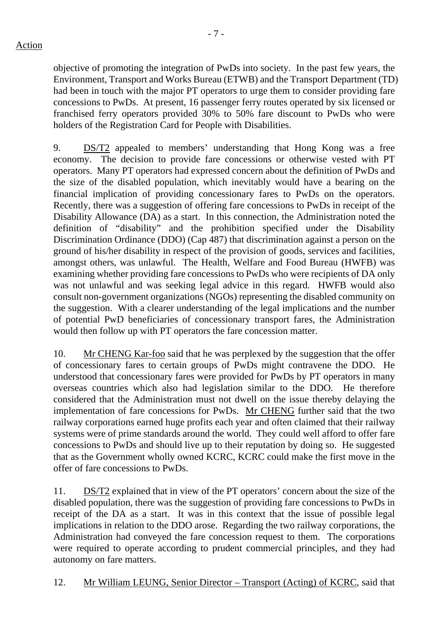objective of promoting the integration of PwDs into society. In the past few years, the Environment, Transport and Works Bureau (ETWB) and the Transport Department (TD) had been in touch with the major PT operators to urge them to consider providing fare concessions to PwDs. At present, 16 passenger ferry routes operated by six licensed or franchised ferry operators provided 30% to 50% fare discount to PwDs who were holders of the Registration Card for People with Disabilities.

9. DS/T2 appealed to members' understanding that Hong Kong was a free economy. The decision to provide fare concessions or otherwise vested with PT operators. Many PT operators had expressed concern about the definition of PwDs and the size of the disabled population, which inevitably would have a bearing on the financial implication of providing concessionary fares to PwDs on the operators. Recently, there was a suggestion of offering fare concessions to PwDs in receipt of the Disability Allowance (DA) as a start. In this connection, the Administration noted the definition of "disability" and the prohibition specified under the Disability Discrimination Ordinance (DDO) (Cap 487) that discrimination against a person on the ground of his/her disability in respect of the provision of goods, services and facilities, amongst others, was unlawful. The Health, Welfare and Food Bureau (HWFB) was examining whether providing fare concessions to PwDs who were recipients of DA only was not unlawful and was seeking legal advice in this regard. HWFB would also consult non-government organizations (NGOs) representing the disabled community on the suggestion. With a clearer understanding of the legal implications and the number of potential PwD beneficiaries of concessionary transport fares, the Administration would then follow up with PT operators the fare concession matter.

10. Mr CHENG Kar-foo said that he was perplexed by the suggestion that the offer of concessionary fares to certain groups of PwDs might contravene the DDO. He understood that concessionary fares were provided for PwDs by PT operators in many overseas countries which also had legislation similar to the DDO. He therefore considered that the Administration must not dwell on the issue thereby delaying the implementation of fare concessions for PwDs. Mr CHENG further said that the two railway corporations earned huge profits each year and often claimed that their railway systems were of prime standards around the world. They could well afford to offer fare concessions to PwDs and should live up to their reputation by doing so. He suggested that as the Government wholly owned KCRC, KCRC could make the first move in the offer of fare concessions to PwDs.

11. DS/T2 explained that in view of the PT operators' concern about the size of the disabled population, there was the suggestion of providing fare concessions to PwDs in receipt of the DA as a start. It was in this context that the issue of possible legal implications in relation to the DDO arose. Regarding the two railway corporations, the Administration had conveyed the fare concession request to them. The corporations were required to operate according to prudent commercial principles, and they had autonomy on fare matters.

12. Mr William LEUNG, Senior Director – Transport (Acting) of KCRC, said that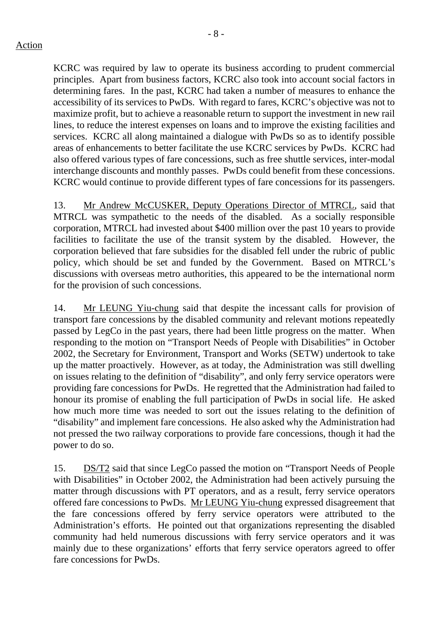- 8 -

KCRC was required by law to operate its business according to prudent commercial principles. Apart from business factors, KCRC also took into account social factors in determining fares. In the past, KCRC had taken a number of measures to enhance the accessibility of its services to PwDs. With regard to fares, KCRC's objective was not to maximize profit, but to achieve a reasonable return to support the investment in new rail lines, to reduce the interest expenses on loans and to improve the existing facilities and services. KCRC all along maintained a dialogue with PwDs so as to identify possible areas of enhancements to better facilitate the use KCRC services by PwDs. KCRC had also offered various types of fare concessions, such as free shuttle services, inter-modal interchange discounts and monthly passes. PwDs could benefit from these concessions. KCRC would continue to provide different types of fare concessions for its passengers.

13. Mr Andrew McCUSKER, Deputy Operations Director of MTRCL, said that MTRCL was sympathetic to the needs of the disabled. As a socially responsible corporation, MTRCL had invested about \$400 million over the past 10 years to provide facilities to facilitate the use of the transit system by the disabled. However, the corporation believed that fare subsidies for the disabled fell under the rubric of public policy, which should be set and funded by the Government. Based on MTRCL's discussions with overseas metro authorities, this appeared to be the international norm for the provision of such concessions.

14. Mr LEUNG Yiu-chung said that despite the incessant calls for provision of transport fare concessions by the disabled community and relevant motions repeatedly passed by LegCo in the past years, there had been little progress on the matter. When responding to the motion on "Transport Needs of People with Disabilities" in October 2002, the Secretary for Environment, Transport and Works (SETW) undertook to take up the matter proactively. However, as at today, the Administration was still dwelling on issues relating to the definition of "disability", and only ferry service operators were providing fare concessions for PwDs. He regretted that the Administration had failed to honour its promise of enabling the full participation of PwDs in social life. He asked how much more time was needed to sort out the issues relating to the definition of "disability" and implement fare concessions. He also asked why the Administration had not pressed the two railway corporations to provide fare concessions, though it had the power to do so.

15. DS/T2 said that since LegCo passed the motion on "Transport Needs of People with Disabilities" in October 2002, the Administration had been actively pursuing the matter through discussions with PT operators, and as a result, ferry service operators offered fare concessions to PwDs. Mr LEUNG Yiu-chung expressed disagreement that the fare concessions offered by ferry service operators were attributed to the Administration's efforts. He pointed out that organizations representing the disabled community had held numerous discussions with ferry service operators and it was mainly due to these organizations' efforts that ferry service operators agreed to offer fare concessions for PwDs.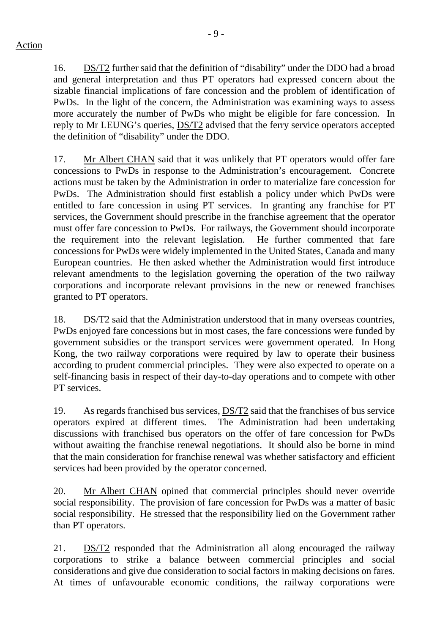16. DS/T2 further said that the definition of "disability" under the DDO had a broad and general interpretation and thus PT operators had expressed concern about the sizable financial implications of fare concession and the problem of identification of PwDs. In the light of the concern, the Administration was examining ways to assess more accurately the number of PwDs who might be eligible for fare concession. In reply to Mr LEUNG's queries, DS/T2 advised that the ferry service operators accepted the definition of "disability" under the DDO.

17. Mr Albert CHAN said that it was unlikely that PT operators would offer fare concessions to PwDs in response to the Administration's encouragement. Concrete actions must be taken by the Administration in order to materialize fare concession for PwDs. The Administration should first establish a policy under which PwDs were entitled to fare concession in using PT services. In granting any franchise for PT services, the Government should prescribe in the franchise agreement that the operator must offer fare concession to PwDs. For railways, the Government should incorporate the requirement into the relevant legislation. He further commented that fare concessions for PwDs were widely implemented in the United States, Canada and many European countries. He then asked whether the Administration would first introduce relevant amendments to the legislation governing the operation of the two railway corporations and incorporate relevant provisions in the new or renewed franchises granted to PT operators.

18. DS/T2 said that the Administration understood that in many overseas countries, PwDs enjoyed fare concessions but in most cases, the fare concessions were funded by government subsidies or the transport services were government operated. In Hong Kong, the two railway corporations were required by law to operate their business according to prudent commercial principles. They were also expected to operate on a self-financing basis in respect of their day-to-day operations and to compete with other PT services.

19. As regards franchised bus services, DS/T2 said that the franchises of bus service operators expired at different times. The Administration had been undertaking discussions with franchised bus operators on the offer of fare concession for PwDs without awaiting the franchise renewal negotiations. It should also be borne in mind that the main consideration for franchise renewal was whether satisfactory and efficient services had been provided by the operator concerned.

20. Mr Albert CHAN opined that commercial principles should never override social responsibility. The provision of fare concession for PwDs was a matter of basic social responsibility. He stressed that the responsibility lied on the Government rather than PT operators.

21. DS/T2 responded that the Administration all along encouraged the railway corporations to strike a balance between commercial principles and social considerations and give due consideration to social factors in making decisions on fares. At times of unfavourable economic conditions, the railway corporations were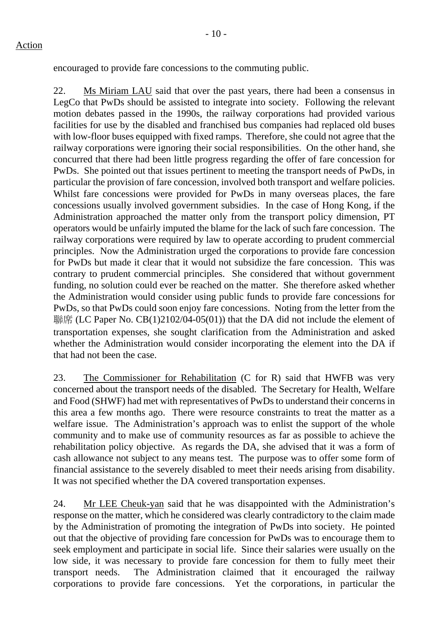encouraged to provide fare concessions to the commuting public.

22. Ms Miriam LAU said that over the past years, there had been a consensus in LegCo that PwDs should be assisted to integrate into society. Following the relevant motion debates passed in the 1990s, the railway corporations had provided various facilities for use by the disabled and franchised bus companies had replaced old buses with low-floor buses equipped with fixed ramps. Therefore, she could not agree that the railway corporations were ignoring their social responsibilities. On the other hand, she concurred that there had been little progress regarding the offer of fare concession for PwDs. She pointed out that issues pertinent to meeting the transport needs of PwDs, in particular the provision of fare concession, involved both transport and welfare policies. Whilst fare concessions were provided for PwDs in many overseas places, the fare concessions usually involved government subsidies. In the case of Hong Kong, if the Administration approached the matter only from the transport policy dimension, PT operators would be unfairly imputed the blame for the lack of such fare concession. The railway corporations were required by law to operate according to prudent commercial principles. Now the Administration urged the corporations to provide fare concession for PwDs but made it clear that it would not subsidize the fare concession. This was contrary to prudent commercial principles. She considered that without government funding, no solution could ever be reached on the matter. She therefore asked whether the Administration would consider using public funds to provide fare concessions for PwDs, so that PwDs could soon enjoy fare concessions. Noting from the letter from the 聯席 (LC Paper No.  $CB(1)2102/04-05(01)$ ) that the DA did not include the element of transportation expenses, she sought clarification from the Administration and asked whether the Administration would consider incorporating the element into the DA if that had not been the case.

23. The Commissioner for Rehabilitation (C for R) said that HWFB was very concerned about the transport needs of the disabled. The Secretary for Health, Welfare and Food (SHWF) had met with representatives of PwDs to understand their concerns in this area a few months ago. There were resource constraints to treat the matter as a welfare issue. The Administration's approach was to enlist the support of the whole community and to make use of community resources as far as possible to achieve the rehabilitation policy objective. As regards the DA, she advised that it was a form of cash allowance not subject to any means test. The purpose was to offer some form of financial assistance to the severely disabled to meet their needs arising from disability. It was not specified whether the DA covered transportation expenses.

24. Mr LEE Cheuk-yan said that he was disappointed with the Administration's response on the matter, which he considered was clearly contradictory to the claim made by the Administration of promoting the integration of PwDs into society. He pointed out that the objective of providing fare concession for PwDs was to encourage them to seek employment and participate in social life. Since their salaries were usually on the low side, it was necessary to provide fare concession for them to fully meet their transport needs. The Administration claimed that it encouraged the railway corporations to provide fare concessions. Yet the corporations, in particular the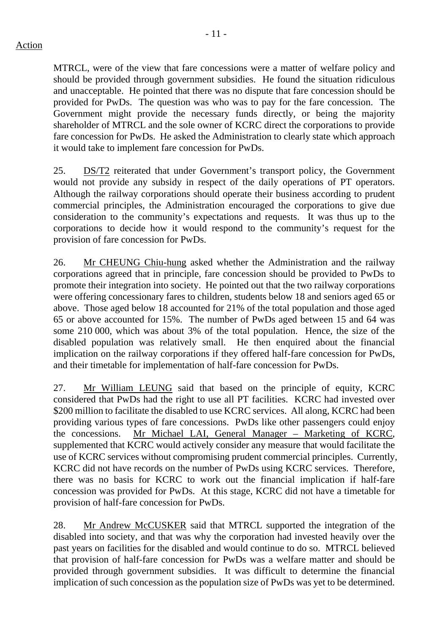### Action

- 11 -

MTRCL, were of the view that fare concessions were a matter of welfare policy and should be provided through government subsidies. He found the situation ridiculous and unacceptable. He pointed that there was no dispute that fare concession should be provided for PwDs. The question was who was to pay for the fare concession. The Government might provide the necessary funds directly, or being the majority shareholder of MTRCL and the sole owner of KCRC direct the corporations to provide fare concession for PwDs. He asked the Administration to clearly state which approach it would take to implement fare concession for PwDs.

25. DS/T2 reiterated that under Government's transport policy, the Government would not provide any subsidy in respect of the daily operations of PT operators. Although the railway corporations should operate their business according to prudent commercial principles, the Administration encouraged the corporations to give due consideration to the community's expectations and requests. It was thus up to the corporations to decide how it would respond to the community's request for the provision of fare concession for PwDs.

26. Mr CHEUNG Chiu-hung asked whether the Administration and the railway corporations agreed that in principle, fare concession should be provided to PwDs to promote their integration into society. He pointed out that the two railway corporations were offering concessionary fares to children, students below 18 and seniors aged 65 or above. Those aged below 18 accounted for 21% of the total population and those aged 65 or above accounted for 15%. The number of PwDs aged between 15 and 64 was some 210 000, which was about 3% of the total population. Hence, the size of the disabled population was relatively small. He then enquired about the financial implication on the railway corporations if they offered half-fare concession for PwDs, and their timetable for implementation of half-fare concession for PwDs.

27. Mr William LEUNG said that based on the principle of equity, KCRC considered that PwDs had the right to use all PT facilities. KCRC had invested over \$200 million to facilitate the disabled to use KCRC services. All along, KCRC had been providing various types of fare concessions. PwDs like other passengers could enjoy the concessions. Mr Michael LAI, General Manager – Marketing of KCRC, supplemented that KCRC would actively consider any measure that would facilitate the use of KCRC services without compromising prudent commercial principles. Currently, KCRC did not have records on the number of PwDs using KCRC services. Therefore, there was no basis for KCRC to work out the financial implication if half-fare concession was provided for PwDs. At this stage, KCRC did not have a timetable for provision of half-fare concession for PwDs.

28. Mr Andrew McCUSKER said that MTRCL supported the integration of the disabled into society, and that was why the corporation had invested heavily over the past years on facilities for the disabled and would continue to do so. MTRCL believed that provision of half-fare concession for PwDs was a welfare matter and should be provided through government subsidies. It was difficult to determine the financial implication of such concession as the population size of PwDs was yet to be determined.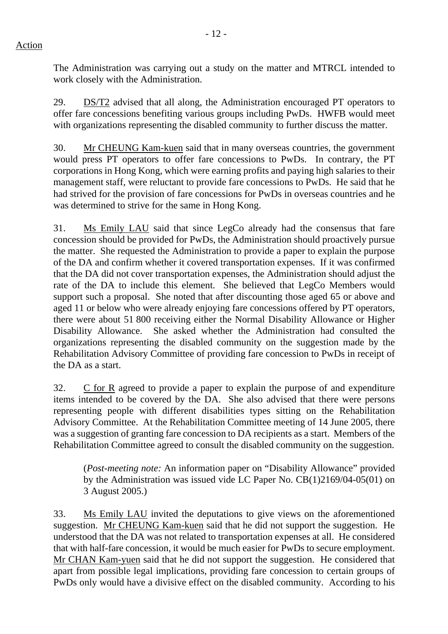The Administration was carrying out a study on the matter and MTRCL intended to work closely with the Administration.

29. DS/T2 advised that all along, the Administration encouraged PT operators to offer fare concessions benefiting various groups including PwDs. HWFB would meet with organizations representing the disabled community to further discuss the matter.

30. Mr CHEUNG Kam-kuen said that in many overseas countries, the government would press PT operators to offer fare concessions to PwDs. In contrary, the PT corporations in Hong Kong, which were earning profits and paying high salaries to their management staff, were reluctant to provide fare concessions to PwDs. He said that he had strived for the provision of fare concessions for PwDs in overseas countries and he was determined to strive for the same in Hong Kong.

31. Ms Emily LAU said that since LegCo already had the consensus that fare concession should be provided for PwDs, the Administration should proactively pursue the matter. She requested the Administration to provide a paper to explain the purpose of the DA and confirm whether it covered transportation expenses. If it was confirmed that the DA did not cover transportation expenses, the Administration should adjust the rate of the DA to include this element. She believed that LegCo Members would support such a proposal. She noted that after discounting those aged 65 or above and aged 11 or below who were already enjoying fare concessions offered by PT operators, there were about 51 800 receiving either the Normal Disability Allowance or Higher Disability Allowance. She asked whether the Administration had consulted the organizations representing the disabled community on the suggestion made by the Rehabilitation Advisory Committee of providing fare concession to PwDs in receipt of the DA as a start.

32. C for R agreed to provide a paper to explain the purpose of and expenditure items intended to be covered by the DA. She also advised that there were persons representing people with different disabilities types sitting on the Rehabilitation Advisory Committee. At the Rehabilitation Committee meeting of 14 June 2005, there was a suggestion of granting fare concession to DA recipients as a start. Members of the Rehabilitation Committee agreed to consult the disabled community on the suggestion.

(*Post-meeting note:* An information paper on "Disability Allowance" provided by the Administration was issued vide LC Paper No. CB(1)2169/04-05(01) on 3 August 2005.)

33. Ms Emily LAU invited the deputations to give views on the aforementioned suggestion. Mr CHEUNG Kam-kuen said that he did not support the suggestion. He understood that the DA was not related to transportation expenses at all. He considered that with half-fare concession, it would be much easier for PwDs to secure employment. Mr CHAN Kam-yuen said that he did not support the suggestion. He considered that apart from possible legal implications, providing fare concession to certain groups of PwDs only would have a divisive effect on the disabled community. According to his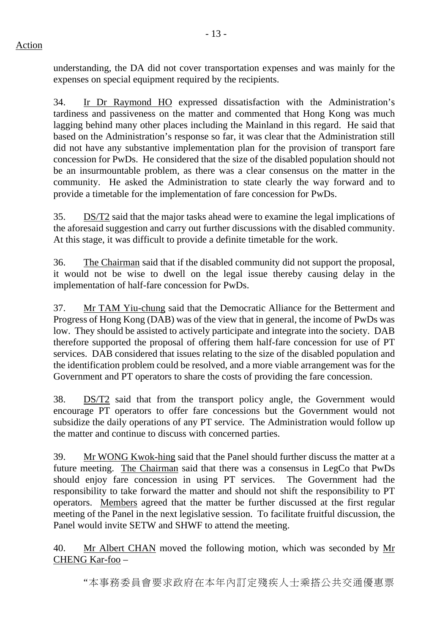understanding, the DA did not cover transportation expenses and was mainly for the expenses on special equipment required by the recipients.

34. Ir Dr Raymond HO expressed dissatisfaction with the Administration's tardiness and passiveness on the matter and commented that Hong Kong was much lagging behind many other places including the Mainland in this regard. He said that based on the Administration's response so far, it was clear that the Administration still did not have any substantive implementation plan for the provision of transport fare concession for PwDs. He considered that the size of the disabled population should not be an insurmountable problem, as there was a clear consensus on the matter in the community. He asked the Administration to state clearly the way forward and to provide a timetable for the implementation of fare concession for PwDs.

35. DS/T2 said that the major tasks ahead were to examine the legal implications of the aforesaid suggestion and carry out further discussions with the disabled community. At this stage, it was difficult to provide a definite timetable for the work.

36. The Chairman said that if the disabled community did not support the proposal, it would not be wise to dwell on the legal issue thereby causing delay in the implementation of half-fare concession for PwDs.

37. Mr TAM Yiu-chung said that the Democratic Alliance for the Betterment and Progress of Hong Kong (DAB) was of the view that in general, the income of PwDs was low. They should be assisted to actively participate and integrate into the society. DAB therefore supported the proposal of offering them half-fare concession for use of PT services. DAB considered that issues relating to the size of the disabled population and the identification problem could be resolved, and a more viable arrangement was for the Government and PT operators to share the costs of providing the fare concession.

38. DS/T2 said that from the transport policy angle, the Government would encourage PT operators to offer fare concessions but the Government would not subsidize the daily operations of any PT service. The Administration would follow up the matter and continue to discuss with concerned parties.

39. Mr WONG Kwok-hing said that the Panel should further discuss the matter at a future meeting. The Chairman said that there was a consensus in LegCo that PwDs should enjoy fare concession in using PT services. The Government had the responsibility to take forward the matter and should not shift the responsibility to PT operators. Members agreed that the matter be further discussed at the first regular meeting of the Panel in the next legislative session. To facilitate fruitful discussion, the Panel would invite SETW and SHWF to attend the meeting.

40. Mr Albert CHAN moved the following motion, which was seconded by Mr CHENG Kar-foo –

"本事務委員會要求政府在本年內訂定殘疾人士乘搭公共交通優惠票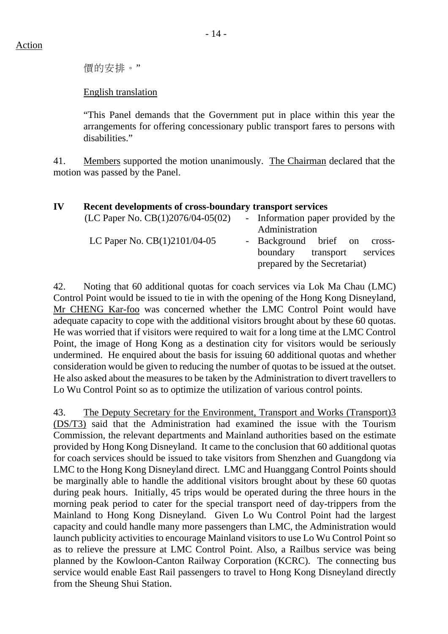價的安排。"

### English translation

"This Panel demands that the Government put in place within this year the arrangements for offering concessionary public transport fares to persons with disabilities."

41. Members supported the motion unanimously. The Chairman declared that the motion was passed by the Panel.

| IV | Recent developments of cross-boundary transport services |                                                                                                |
|----|----------------------------------------------------------|------------------------------------------------------------------------------------------------|
|    | (LC Paper No. $CB(1)2076/04-05(02)$                      | - Information paper provided by the<br>Administration                                          |
|    | LC Paper No. $CB(1)2101/04-05$                           | - Background brief on cross-<br>transport services<br>boundary<br>prepared by the Secretariat) |

42. Noting that 60 additional quotas for coach services via Lok Ma Chau (LMC) Control Point would be issued to tie in with the opening of the Hong Kong Disneyland, Mr CHENG Kar-foo was concerned whether the LMC Control Point would have adequate capacity to cope with the additional visitors brought about by these 60 quotas. He was worried that if visitors were required to wait for a long time at the LMC Control Point, the image of Hong Kong as a destination city for visitors would be seriously undermined. He enquired about the basis for issuing 60 additional quotas and whether consideration would be given to reducing the number of quotas to be issued at the outset. He also asked about the measures to be taken by the Administration to divert travellers to Lo Wu Control Point so as to optimize the utilization of various control points.

43. The Deputy Secretary for the Environment, Transport and Works (Transport)3 (DS/T3) said that the Administration had examined the issue with the Tourism Commission, the relevant departments and Mainland authorities based on the estimate provided by Hong Kong Disneyland. It came to the conclusion that 60 additional quotas for coach services should be issued to take visitors from Shenzhen and Guangdong via LMC to the Hong Kong Disneyland direct. LMC and Huanggang Control Points should be marginally able to handle the additional visitors brought about by these 60 quotas during peak hours. Initially, 45 trips would be operated during the three hours in the morning peak period to cater for the special transport need of day-trippers from the Mainland to Hong Kong Disneyland. Given Lo Wu Control Point had the largest capacity and could handle many more passengers than LMC, the Administration would launch publicity activities to encourage Mainland visitors to use Lo Wu Control Point so as to relieve the pressure at LMC Control Point. Also, a Railbus service was being planned by the Kowloon-Canton Railway Corporation (KCRC). The connecting bus service would enable East Rail passengers to travel to Hong Kong Disneyland directly from the Sheung Shui Station.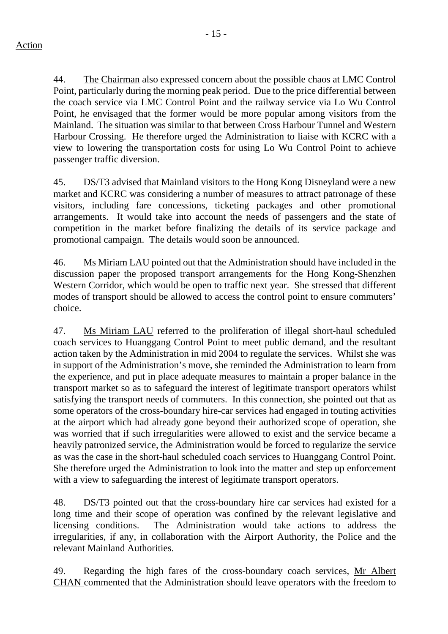44. The Chairman also expressed concern about the possible chaos at LMC Control Point, particularly during the morning peak period. Due to the price differential between the coach service via LMC Control Point and the railway service via Lo Wu Control Point, he envisaged that the former would be more popular among visitors from the Mainland. The situation was similar to that between Cross Harbour Tunnel and Western Harbour Crossing. He therefore urged the Administration to liaise with KCRC with a view to lowering the transportation costs for using Lo Wu Control Point to achieve passenger traffic diversion.

45. DS/T3 advised that Mainland visitors to the Hong Kong Disneyland were a new market and KCRC was considering a number of measures to attract patronage of these visitors, including fare concessions, ticketing packages and other promotional arrangements. It would take into account the needs of passengers and the state of competition in the market before finalizing the details of its service package and promotional campaign. The details would soon be announced.

46. Ms Miriam LAU pointed out that the Administration should have included in the discussion paper the proposed transport arrangements for the Hong Kong-Shenzhen Western Corridor, which would be open to traffic next year. She stressed that different modes of transport should be allowed to access the control point to ensure commuters' choice.

47. Ms Miriam LAU referred to the proliferation of illegal short-haul scheduled coach services to Huanggang Control Point to meet public demand, and the resultant action taken by the Administration in mid 2004 to regulate the services. Whilst she was in support of the Administration's move, she reminded the Administration to learn from the experience, and put in place adequate measures to maintain a proper balance in the transport market so as to safeguard the interest of legitimate transport operators whilst satisfying the transport needs of commuters. In this connection, she pointed out that as some operators of the cross-boundary hire-car services had engaged in touting activities at the airport which had already gone beyond their authorized scope of operation, she was worried that if such irregularities were allowed to exist and the service became a heavily patronized service, the Administration would be forced to regularize the service as was the case in the short-haul scheduled coach services to Huanggang Control Point. She therefore urged the Administration to look into the matter and step up enforcement with a view to safeguarding the interest of legitimate transport operators.

48. DS/T3 pointed out that the cross-boundary hire car services had existed for a long time and their scope of operation was confined by the relevant legislative and licensing conditions. The Administration would take actions to address the irregularities, if any, in collaboration with the Airport Authority, the Police and the relevant Mainland Authorities.

49. Regarding the high fares of the cross-boundary coach services, Mr Albert CHAN commented that the Administration should leave operators with the freedom to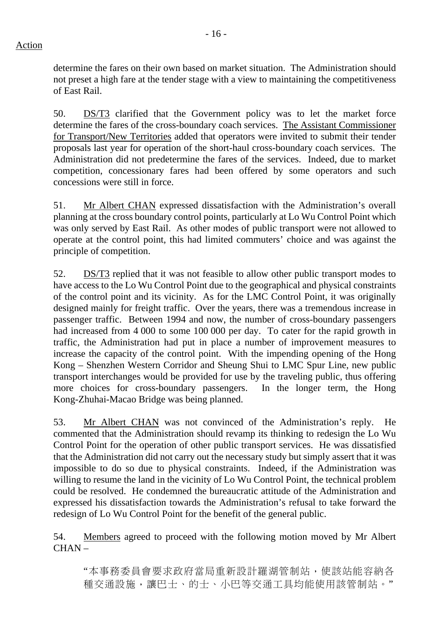determine the fares on their own based on market situation. The Administration should not preset a high fare at the tender stage with a view to maintaining the competitiveness of East Rail.

50. DS/T3 clarified that the Government policy was to let the market force determine the fares of the cross-boundary coach services. The Assistant Commissioner for Transport/New Territories added that operators were invited to submit their tender proposals last year for operation of the short-haul cross-boundary coach services. The Administration did not predetermine the fares of the services. Indeed, due to market competition, concessionary fares had been offered by some operators and such concessions were still in force.

51. Mr Albert CHAN expressed dissatisfaction with the Administration's overall planning at the cross boundary control points, particularly at Lo Wu Control Point which was only served by East Rail. As other modes of public transport were not allowed to operate at the control point, this had limited commuters' choice and was against the principle of competition.

52. DS/T3 replied that it was not feasible to allow other public transport modes to have access to the Lo Wu Control Point due to the geographical and physical constraints of the control point and its vicinity. As for the LMC Control Point, it was originally designed mainly for freight traffic. Over the years, there was a tremendous increase in passenger traffic. Between 1994 and now, the number of cross-boundary passengers had increased from 4 000 to some 100 000 per day. To cater for the rapid growth in traffic, the Administration had put in place a number of improvement measures to increase the capacity of the control point. With the impending opening of the Hong Kong – Shenzhen Western Corridor and Sheung Shui to LMC Spur Line, new public transport interchanges would be provided for use by the traveling public, thus offering more choices for cross-boundary passengers. In the longer term, the Hong Kong-Zhuhai-Macao Bridge was being planned.

53. Mr Albert CHAN was not convinced of the Administration's reply. He commented that the Administration should revamp its thinking to redesign the Lo Wu Control Point for the operation of other public transport services. He was dissatisfied that the Administration did not carry out the necessary study but simply assert that it was impossible to do so due to physical constraints. Indeed, if the Administration was willing to resume the land in the vicinity of Lo Wu Control Point, the technical problem could be resolved. He condemned the bureaucratic attitude of the Administration and expressed his dissatisfaction towards the Administration's refusal to take forward the redesign of Lo Wu Control Point for the benefit of the general public.

54. Members agreed to proceed with the following motion moved by Mr Albert  $CHAN -$ 

"本事務委員會要求政府當局重新設計羅湖管制站,使該站能容納各 種交通設施,讓巴士、的士、小巴等交通工具均能使用該管制站。"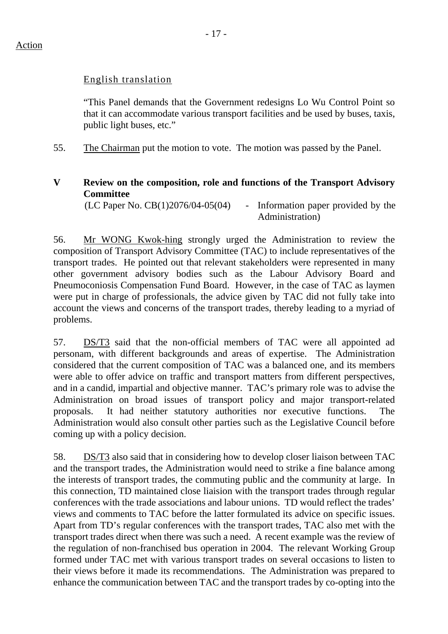### English translation

"This Panel demands that the Government redesigns Lo Wu Control Point so that it can accommodate various transport facilities and be used by buses, taxis, public light buses, etc."

55. The Chairman put the motion to vote. The motion was passed by the Panel.

## **V Review on the composition, role and functions of the Transport Advisory Committee**

 $(LC$  Paper No.  $CB(1)2076/04-05(04)$  - Information paper provided by the Administration)

56. Mr WONG Kwok-hing strongly urged the Administration to review the composition of Transport Advisory Committee (TAC) to include representatives of the transport trades. He pointed out that relevant stakeholders were represented in many other government advisory bodies such as the Labour Advisory Board and Pneumoconiosis Compensation Fund Board. However, in the case of TAC as laymen were put in charge of professionals, the advice given by TAC did not fully take into account the views and concerns of the transport trades, thereby leading to a myriad of problems.

57. DS/T3 said that the non-official members of TAC were all appointed ad personam, with different backgrounds and areas of expertise. The Administration considered that the current composition of TAC was a balanced one, and its members were able to offer advice on traffic and transport matters from different perspectives, and in a candid, impartial and objective manner. TAC's primary role was to advise the Administration on broad issues of transport policy and major transport-related proposals. It had neither statutory authorities nor executive functions. The Administration would also consult other parties such as the Legislative Council before coming up with a policy decision.

58. DS/T3 also said that in considering how to develop closer liaison between TAC and the transport trades, the Administration would need to strike a fine balance among the interests of transport trades, the commuting public and the community at large. In this connection, TD maintained close liaision with the transport trades through regular conferences with the trade associations and labour unions. TD would reflect the trades' views and comments to TAC before the latter formulated its advice on specific issues. Apart from TD's regular conferences with the transport trades, TAC also met with the transport trades direct when there was such a need. A recent example was the review of the regulation of non-franchised bus operation in 2004. The relevant Working Group formed under TAC met with various transport trades on several occasions to listen to their views before it made its recommendations. The Administration was prepared to enhance the communication between TAC and the transport trades by co-opting into the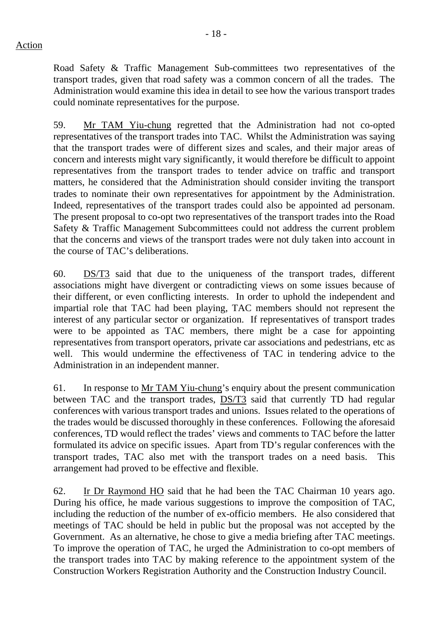Road Safety & Traffic Management Sub-committees two representatives of the transport trades, given that road safety was a common concern of all the trades. The Administration would examine this idea in detail to see how the various transport trades could nominate representatives for the purpose.

59. Mr TAM Yiu-chung regretted that the Administration had not co-opted representatives of the transport trades into TAC. Whilst the Administration was saying that the transport trades were of different sizes and scales, and their major areas of concern and interests might vary significantly, it would therefore be difficult to appoint representatives from the transport trades to tender advice on traffic and transport matters, he considered that the Administration should consider inviting the transport trades to nominate their own representatives for appointment by the Administration. Indeed, representatives of the transport trades could also be appointed ad personam. The present proposal to co-opt two representatives of the transport trades into the Road Safety & Traffic Management Subcommittees could not address the current problem that the concerns and views of the transport trades were not duly taken into account in the course of TAC's deliberations.

60. DS/T3 said that due to the uniqueness of the transport trades, different associations might have divergent or contradicting views on some issues because of their different, or even conflicting interests. In order to uphold the independent and impartial role that TAC had been playing, TAC members should not represent the interest of any particular sector or organization. If representatives of transport trades were to be appointed as TAC members, there might be a case for appointing representatives from transport operators, private car associations and pedestrians, etc as well. This would undermine the effectiveness of TAC in tendering advice to the Administration in an independent manner.

61. In response to Mr TAM Yiu-chung's enquiry about the present communication between TAC and the transport trades, DS/T3 said that currently TD had regular conferences with various transport trades and unions. Issues related to the operations of the trades would be discussed thoroughly in these conferences. Following the aforesaid conferences, TD would reflect the trades' views and comments to TAC before the latter formulated its advice on specific issues. Apart from TD's regular conferences with the transport trades, TAC also met with the transport trades on a need basis. This arrangement had proved to be effective and flexible.

62. Ir Dr Raymond HO said that he had been the TAC Chairman 10 years ago. During his office, he made various suggestions to improve the composition of TAC, including the reduction of the number of ex-officio members. He also considered that meetings of TAC should be held in public but the proposal was not accepted by the Government. As an alternative, he chose to give a media briefing after TAC meetings. To improve the operation of TAC, he urged the Administration to co-opt members of the transport trades into TAC by making reference to the appointment system of the Construction Workers Registration Authority and the Construction Industry Council.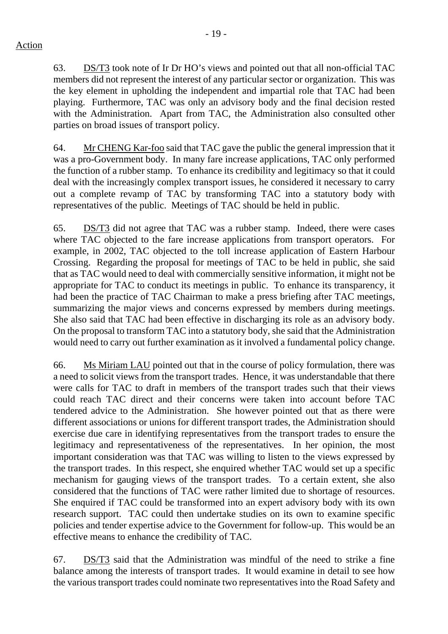63. DS/T3 took note of Ir Dr HO's views and pointed out that all non-official TAC members did not represent the interest of any particular sector or organization. This was the key element in upholding the independent and impartial role that TAC had been playing. Furthermore, TAC was only an advisory body and the final decision rested with the Administration. Apart from TAC, the Administration also consulted other parties on broad issues of transport policy.

64. Mr CHENG Kar-foo said that TAC gave the public the general impression that it was a pro-Government body. In many fare increase applications, TAC only performed the function of a rubber stamp. To enhance its credibility and legitimacy so that it could deal with the increasingly complex transport issues, he considered it necessary to carry out a complete revamp of TAC by transforming TAC into a statutory body with representatives of the public. Meetings of TAC should be held in public.

65. DS/T3 did not agree that TAC was a rubber stamp. Indeed, there were cases where TAC objected to the fare increase applications from transport operators. For example, in 2002, TAC objected to the toll increase application of Eastern Harbour Crossing. Regarding the proposal for meetings of TAC to be held in public, she said that as TAC would need to deal with commercially sensitive information, it might not be appropriate for TAC to conduct its meetings in public. To enhance its transparency, it had been the practice of TAC Chairman to make a press briefing after TAC meetings, summarizing the major views and concerns expressed by members during meetings. She also said that TAC had been effective in discharging its role as an advisory body. On the proposal to transform TAC into a statutory body, she said that the Administration would need to carry out further examination as it involved a fundamental policy change.

66. Ms Miriam LAU pointed out that in the course of policy formulation, there was a need to solicit views from the transport trades. Hence, it was understandable that there were calls for TAC to draft in members of the transport trades such that their views could reach TAC direct and their concerns were taken into account before TAC tendered advice to the Administration. She however pointed out that as there were different associations or unions for different transport trades, the Administration should exercise due care in identifying representatives from the transport trades to ensure the legitimacy and representativeness of the representatives. In her opinion, the most important consideration was that TAC was willing to listen to the views expressed by the transport trades. In this respect, she enquired whether TAC would set up a specific mechanism for gauging views of the transport trades. To a certain extent, she also considered that the functions of TAC were rather limited due to shortage of resources. She enquired if TAC could be transformed into an expert advisory body with its own research support. TAC could then undertake studies on its own to examine specific policies and tender expertise advice to the Government for follow-up. This would be an effective means to enhance the credibility of TAC.

67. DS/T3 said that the Administration was mindful of the need to strike a fine balance among the interests of transport trades. It would examine in detail to see how the various transport trades could nominate two representatives into the Road Safety and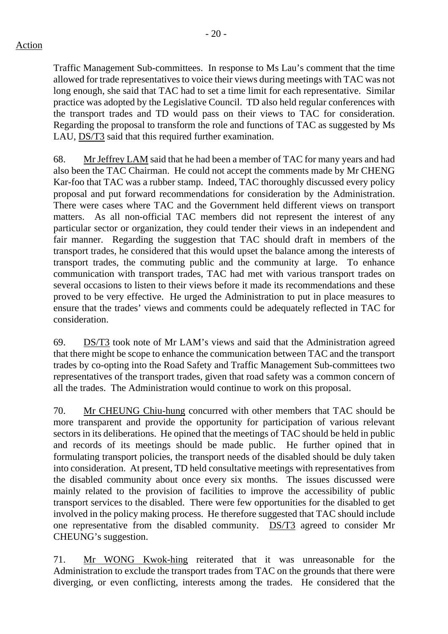Traffic Management Sub-committees. In response to Ms Lau's comment that the time allowed for trade representatives to voice their views during meetings with TAC was not long enough, she said that TAC had to set a time limit for each representative. Similar practice was adopted by the Legislative Council. TD also held regular conferences with the transport trades and TD would pass on their views to TAC for consideration. Regarding the proposal to transform the role and functions of TAC as suggested by Ms LAU, DS/T3 said that this required further examination.

68. Mr Jeffrey LAM said that he had been a member of TAC for many years and had also been the TAC Chairman. He could not accept the comments made by Mr CHENG Kar-foo that TAC was a rubber stamp. Indeed, TAC thoroughly discussed every policy proposal and put forward recommendations for consideration by the Administration. There were cases where TAC and the Government held different views on transport matters. As all non-official TAC members did not represent the interest of any particular sector or organization, they could tender their views in an independent and fair manner. Regarding the suggestion that TAC should draft in members of the transport trades, he considered that this would upset the balance among the interests of transport trades, the commuting public and the community at large. To enhance communication with transport trades, TAC had met with various transport trades on several occasions to listen to their views before it made its recommendations and these proved to be very effective. He urged the Administration to put in place measures to ensure that the trades' views and comments could be adequately reflected in TAC for consideration.

69. DS/T3 took note of Mr LAM's views and said that the Administration agreed that there might be scope to enhance the communication between TAC and the transport trades by co-opting into the Road Safety and Traffic Management Sub-committees two representatives of the transport trades, given that road safety was a common concern of all the trades. The Administration would continue to work on this proposal.

70. Mr CHEUNG Chiu-hung concurred with other members that TAC should be more transparent and provide the opportunity for participation of various relevant sectors in its deliberations. He opined that the meetings of TAC should be held in public and records of its meetings should be made public. He further opined that in formulating transport policies, the transport needs of the disabled should be duly taken into consideration. At present, TD held consultative meetings with representatives from the disabled community about once every six months. The issues discussed were mainly related to the provision of facilities to improve the accessibility of public transport services to the disabled. There were few opportunities for the disabled to get involved in the policy making process. He therefore suggested that TAC should include one representative from the disabled community. DS/T3 agreed to consider Mr CHEUNG's suggestion.

71. Mr WONG Kwok-hing reiterated that it was unreasonable for the Administration to exclude the transport trades from TAC on the grounds that there were diverging, or even conflicting, interests among the trades. He considered that the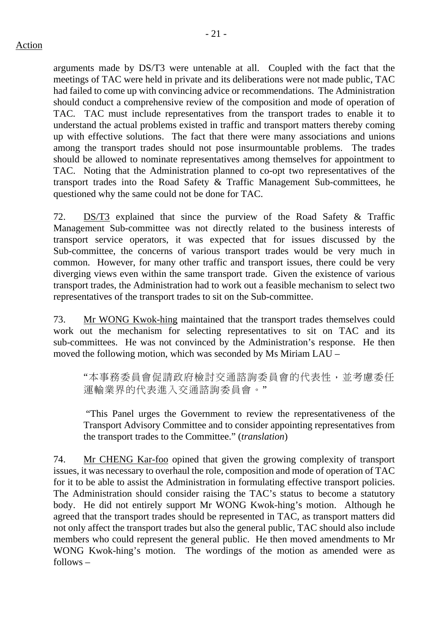arguments made by DS/T3 were untenable at all. Coupled with the fact that the meetings of TAC were held in private and its deliberations were not made public, TAC had failed to come up with convincing advice or recommendations. The Administration should conduct a comprehensive review of the composition and mode of operation of TAC. TAC must include representatives from the transport trades to enable it to understand the actual problems existed in traffic and transport matters thereby coming up with effective solutions. The fact that there were many associations and unions among the transport trades should not pose insurmountable problems. The trades should be allowed to nominate representatives among themselves for appointment to TAC. Noting that the Administration planned to co-opt two representatives of the transport trades into the Road Safety & Traffic Management Sub-committees, he questioned why the same could not be done for TAC.

72. DS/T3 explained that since the purview of the Road Safety & Traffic Management Sub-committee was not directly related to the business interests of transport service operators, it was expected that for issues discussed by the Sub-committee, the concerns of various transport trades would be very much in common. However, for many other traffic and transport issues, there could be very diverging views even within the same transport trade. Given the existence of various transport trades, the Administration had to work out a feasible mechanism to select two representatives of the transport trades to sit on the Sub-committee.

73. Mr WONG Kwok-hing maintained that the transport trades themselves could work out the mechanism for selecting representatives to sit on TAC and its sub-committees. He was not convinced by the Administration's response. He then moved the following motion, which was seconded by Ms Miriam LAU –

"本事務委員會促請政府檢討交通諮詢委員會的代表性,並考慮委任 運輸業界的代表進入交通諮詢委員會。"

 "This Panel urges the Government to review the representativeness of the Transport Advisory Committee and to consider appointing representatives from the transport trades to the Committee." (*translation*)

74. Mr CHENG Kar-foo opined that given the growing complexity of transport issues, it was necessary to overhaul the role, composition and mode of operation of TAC for it to be able to assist the Administration in formulating effective transport policies. The Administration should consider raising the TAC's status to become a statutory body. He did not entirely support Mr WONG Kwok-hing's motion. Although he agreed that the transport trades should be represented in TAC, as transport matters did not only affect the transport trades but also the general public, TAC should also include members who could represent the general public. He then moved amendments to Mr WONG Kwok-hing's motion. The wordings of the motion as amended were as follows –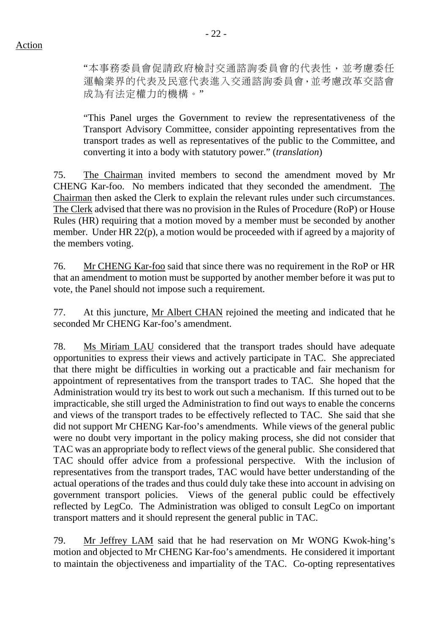"本事務委員會促請政府檢討交通諮詢委員會的代表性,並考慮委任 運輸業界的代表及民意代表進入交通諮詢委員會,並考慮改革交諮會 成為有法定權力的機構。"

"This Panel urges the Government to review the representativeness of the Transport Advisory Committee, consider appointing representatives from the transport trades as well as representatives of the public to the Committee, and converting it into a body with statutory power." (*translation*)

75. The Chairman invited members to second the amendment moved by Mr CHENG Kar-foo. No members indicated that they seconded the amendment. The Chairman then asked the Clerk to explain the relevant rules under such circumstances. The Clerk advised that there was no provision in the Rules of Procedure (RoP) or House Rules (HR) requiring that a motion moved by a member must be seconded by another member. Under HR 22(p), a motion would be proceeded with if agreed by a majority of the members voting.

76. Mr CHENG Kar-foo said that since there was no requirement in the RoP or HR that an amendment to motion must be supported by another member before it was put to vote, the Panel should not impose such a requirement.

77. At this juncture, Mr Albert CHAN rejoined the meeting and indicated that he seconded Mr CHENG Kar-foo's amendment.

78. Ms Miriam LAU considered that the transport trades should have adequate opportunities to express their views and actively participate in TAC. She appreciated that there might be difficulties in working out a practicable and fair mechanism for appointment of representatives from the transport trades to TAC. She hoped that the Administration would try its best to work out such a mechanism. If this turned out to be impracticable, she still urged the Administration to find out ways to enable the concerns and views of the transport trades to be effectively reflected to TAC. She said that she did not support Mr CHENG Kar-foo's amendments. While views of the general public were no doubt very important in the policy making process, she did not consider that TAC was an appropriate body to reflect views of the general public. She considered that TAC should offer advice from a professional perspective. With the inclusion of representatives from the transport trades, TAC would have better understanding of the actual operations of the trades and thus could duly take these into account in advising on government transport policies. Views of the general public could be effectively reflected by LegCo. The Administration was obliged to consult LegCo on important transport matters and it should represent the general public in TAC.

79. Mr Jeffrey LAM said that he had reservation on Mr WONG Kwok-hing's motion and objected to Mr CHENG Kar-foo's amendments. He considered it important to maintain the objectiveness and impartiality of the TAC. Co-opting representatives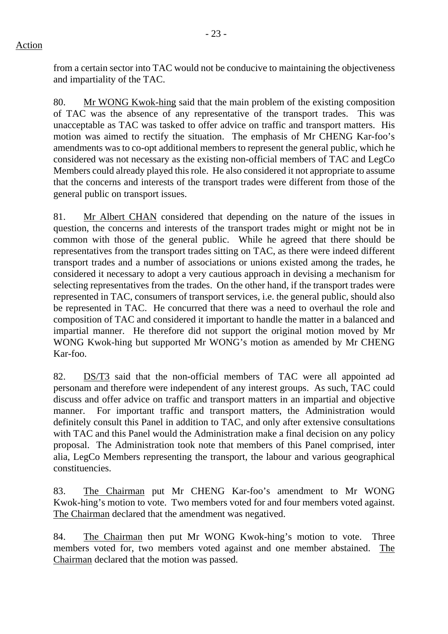from a certain sector into TAC would not be conducive to maintaining the objectiveness and impartiality of the TAC.

80. Mr WONG Kwok-hing said that the main problem of the existing composition of TAC was the absence of any representative of the transport trades. This was unacceptable as TAC was tasked to offer advice on traffic and transport matters. His motion was aimed to rectify the situation. The emphasis of Mr CHENG Kar-foo's amendments was to co-opt additional members to represent the general public, which he considered was not necessary as the existing non-official members of TAC and LegCo Members could already played this role. He also considered it not appropriate to assume that the concerns and interests of the transport trades were different from those of the general public on transport issues.

81. Mr Albert CHAN considered that depending on the nature of the issues in question, the concerns and interests of the transport trades might or might not be in common with those of the general public. While he agreed that there should be representatives from the transport trades sitting on TAC, as there were indeed different transport trades and a number of associations or unions existed among the trades, he considered it necessary to adopt a very cautious approach in devising a mechanism for selecting representatives from the trades. On the other hand, if the transport trades were represented in TAC, consumers of transport services, i.e. the general public, should also be represented in TAC. He concurred that there was a need to overhaul the role and composition of TAC and considered it important to handle the matter in a balanced and impartial manner. He therefore did not support the original motion moved by Mr WONG Kwok-hing but supported Mr WONG's motion as amended by Mr CHENG Kar-foo.

82. DS/T3 said that the non-official members of TAC were all appointed ad personam and therefore were independent of any interest groups. As such, TAC could discuss and offer advice on traffic and transport matters in an impartial and objective manner. For important traffic and transport matters, the Administration would definitely consult this Panel in addition to TAC, and only after extensive consultations with TAC and this Panel would the Administration make a final decision on any policy proposal. The Administration took note that members of this Panel comprised, inter alia, LegCo Members representing the transport, the labour and various geographical constituencies.

83. The Chairman put Mr CHENG Kar-foo's amendment to Mr WONG Kwok-hing's motion to vote. Two members voted for and four members voted against. The Chairman declared that the amendment was negatived.

84. The Chairman then put Mr WONG Kwok-hing's motion to vote. Three members voted for, two members voted against and one member abstained. The Chairman declared that the motion was passed.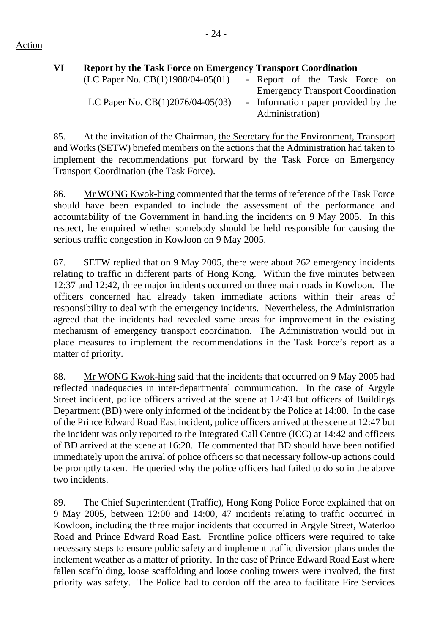## Action

| VI | <b>Report by the Task Force on Emergency Transport Coordination</b> |                                         |
|----|---------------------------------------------------------------------|-----------------------------------------|
|    | (LC Paper No. $CB(1)1988/04-05(01)$                                 | - Report of the Task Force on           |
|    |                                                                     | <b>Emergency Transport Coordination</b> |
|    | LC Paper No. $CB(1)2076/04-05(03)$                                  | - Information paper provided by the     |
|    |                                                                     | Administration)                         |

85. At the invitation of the Chairman, the Secretary for the Environment, Transport and Works (SETW) briefed members on the actions that the Administration had taken to implement the recommendations put forward by the Task Force on Emergency Transport Coordination (the Task Force).

86. Mr WONG Kwok-hing commented that the terms of reference of the Task Force should have been expanded to include the assessment of the performance and accountability of the Government in handling the incidents on 9 May 2005. In this respect, he enquired whether somebody should be held responsible for causing the serious traffic congestion in Kowloon on 9 May 2005.

87. SETW replied that on 9 May 2005, there were about 262 emergency incidents relating to traffic in different parts of Hong Kong. Within the five minutes between 12:37 and 12:42, three major incidents occurred on three main roads in Kowloon. The officers concerned had already taken immediate actions within their areas of responsibility to deal with the emergency incidents. Nevertheless, the Administration agreed that the incidents had revealed some areas for improvement in the existing mechanism of emergency transport coordination. The Administration would put in place measures to implement the recommendations in the Task Force's report as a matter of priority.

88. Mr WONG Kwok-hing said that the incidents that occurred on 9 May 2005 had reflected inadequacies in inter-departmental communication. In the case of Argyle Street incident, police officers arrived at the scene at 12:43 but officers of Buildings Department (BD) were only informed of the incident by the Police at 14:00. In the case of the Prince Edward Road East incident, police officers arrived at the scene at 12:47 but the incident was only reported to the Integrated Call Centre (ICC) at 14:42 and officers of BD arrived at the scene at 16:20. He commented that BD should have been notified immediately upon the arrival of police officers so that necessary follow-up actions could be promptly taken. He queried why the police officers had failed to do so in the above two incidents.

89. The Chief Superintendent (Traffic), Hong Kong Police Force explained that on 9 May 2005, between 12:00 and 14:00, 47 incidents relating to traffic occurred in Kowloon, including the three major incidents that occurred in Argyle Street, Waterloo Road and Prince Edward Road East. Frontline police officers were required to take necessary steps to ensure public safety and implement traffic diversion plans under the inclement weather as a matter of priority. In the case of Prince Edward Road East where fallen scaffolding, loose scaffolding and loose cooling towers were involved, the first priority was safety. The Police had to cordon off the area to facilitate Fire Services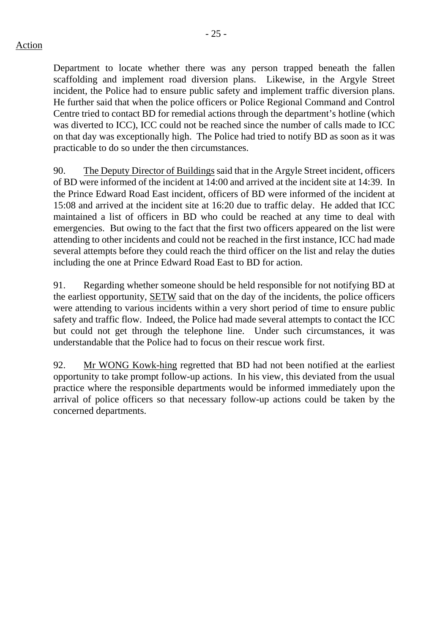Department to locate whether there was any person trapped beneath the fallen scaffolding and implement road diversion plans. Likewise, in the Argyle Street incident, the Police had to ensure public safety and implement traffic diversion plans. He further said that when the police officers or Police Regional Command and Control Centre tried to contact BD for remedial actions through the department's hotline (which was diverted to ICC), ICC could not be reached since the number of calls made to ICC on that day was exceptionally high. The Police had tried to notify BD as soon as it was practicable to do so under the then circumstances.

90. The Deputy Director of Buildings said that in the Argyle Street incident, officers of BD were informed of the incident at 14:00 and arrived at the incident site at 14:39. In the Prince Edward Road East incident, officers of BD were informed of the incident at 15:08 and arrived at the incident site at 16:20 due to traffic delay. He added that ICC maintained a list of officers in BD who could be reached at any time to deal with emergencies. But owing to the fact that the first two officers appeared on the list were attending to other incidents and could not be reached in the first instance, ICC had made several attempts before they could reach the third officer on the list and relay the duties including the one at Prince Edward Road East to BD for action.

91. Regarding whether someone should be held responsible for not notifying BD at the earliest opportunity, SETW said that on the day of the incidents, the police officers were attending to various incidents within a very short period of time to ensure public safety and traffic flow. Indeed, the Police had made several attempts to contact the ICC but could not get through the telephone line. Under such circumstances, it was understandable that the Police had to focus on their rescue work first.

92. Mr WONG Kowk-hing regretted that BD had not been notified at the earliest opportunity to take prompt follow-up actions. In his view, this deviated from the usual practice where the responsible departments would be informed immediately upon the arrival of police officers so that necessary follow-up actions could be taken by the concerned departments.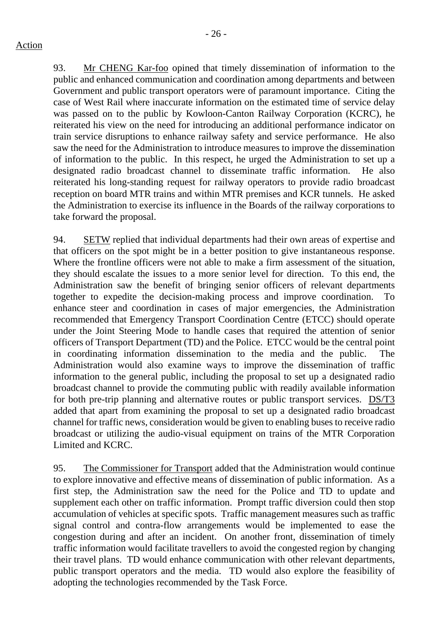93. Mr CHENG Kar-foo opined that timely dissemination of information to the public and enhanced communication and coordination among departments and between Government and public transport operators were of paramount importance. Citing the case of West Rail where inaccurate information on the estimated time of service delay was passed on to the public by Kowloon-Canton Railway Corporation (KCRC), he reiterated his view on the need for introducing an additional performance indicator on train service disruptions to enhance railway safety and service performance. He also saw the need for the Administration to introduce measures to improve the dissemination of information to the public. In this respect, he urged the Administration to set up a designated radio broadcast channel to disseminate traffic information. He also reiterated his long-standing request for railway operators to provide radio broadcast reception on board MTR trains and within MTR premises and KCR tunnels. He asked the Administration to exercise its influence in the Boards of the railway corporations to take forward the proposal.

94. SETW replied that individual departments had their own areas of expertise and that officers on the spot might be in a better position to give instantaneous response. Where the frontline officers were not able to make a firm assessment of the situation, they should escalate the issues to a more senior level for direction. To this end, the Administration saw the benefit of bringing senior officers of relevant departments together to expedite the decision-making process and improve coordination. To enhance steer and coordination in cases of major emergencies, the Administration recommended that Emergency Transport Coordination Centre (ETCC) should operate under the Joint Steering Mode to handle cases that required the attention of senior officers of Transport Department (TD) and the Police. ETCC would be the central point in coordinating information dissemination to the media and the public. The Administration would also examine ways to improve the dissemination of traffic information to the general public, including the proposal to set up a designated radio broadcast channel to provide the commuting public with readily available information for both pre-trip planning and alternative routes or public transport services. DS/T3 added that apart from examining the proposal to set up a designated radio broadcast channel for traffic news, consideration would be given to enabling buses to receive radio broadcast or utilizing the audio-visual equipment on trains of the MTR Corporation Limited and KCRC.

95. The Commissioner for Transport added that the Administration would continue to explore innovative and effective means of dissemination of public information. As a first step, the Administration saw the need for the Police and TD to update and supplement each other on traffic information. Prompt traffic diversion could then stop accumulation of vehicles at specific spots. Traffic management measures such as traffic signal control and contra-flow arrangements would be implemented to ease the congestion during and after an incident. On another front, dissemination of timely traffic information would facilitate travellers to avoid the congested region by changing their travel plans. TD would enhance communication with other relevant departments, public transport operators and the media. TD would also explore the feasibility of adopting the technologies recommended by the Task Force.